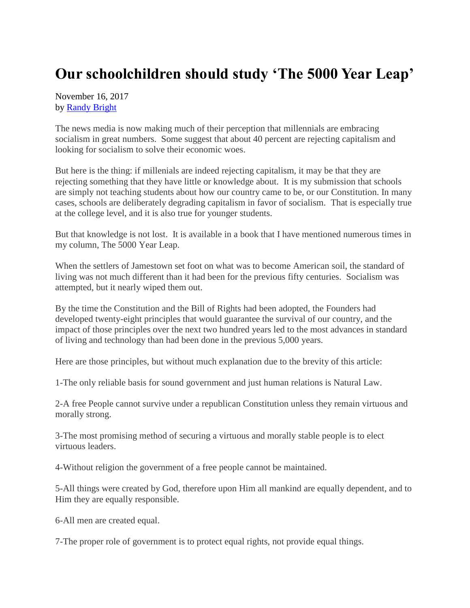## **Our schoolchildren should study 'The 5000 Year Leap'**

November 16, 2017 by [Randy Bright](http://tulsabeacon.com/writers/randy-bright/)

The news media is now making much of their perception that millennials are embracing socialism in great numbers. Some suggest that about 40 percent are rejecting capitalism and looking for socialism to solve their economic woes.

But here is the thing: if millenials are indeed rejecting capitalism, it may be that they are rejecting something that they have little or knowledge about. It is my submission that schools are simply not teaching students about how our country came to be, or our Constitution. In many cases, schools are deliberately degrading capitalism in favor of socialism. That is especially true at the college level, and it is also true for younger students.

But that knowledge is not lost. It is available in a book that I have mentioned numerous times in my column, The 5000 Year Leap.

When the settlers of Jamestown set foot on what was to become American soil, the standard of living was not much different than it had been for the previous fifty centuries. Socialism was attempted, but it nearly wiped them out.

By the time the Constitution and the Bill of Rights had been adopted, the Founders had developed twenty-eight principles that would guarantee the survival of our country, and the impact of those principles over the next two hundred years led to the most advances in standard of living and technology than had been done in the previous 5,000 years.

Here are those principles, but without much explanation due to the brevity of this article:

1-The only reliable basis for sound government and just human relations is Natural Law.

2-A free People cannot survive under a republican Constitution unless they remain virtuous and morally strong.

3-The most promising method of securing a virtuous and morally stable people is to elect virtuous leaders.

4-Without religion the government of a free people cannot be maintained.

5-All things were created by God, therefore upon Him all mankind are equally dependent, and to Him they are equally responsible.

6-All men are created equal.

7-The proper role of government is to protect equal rights, not provide equal things.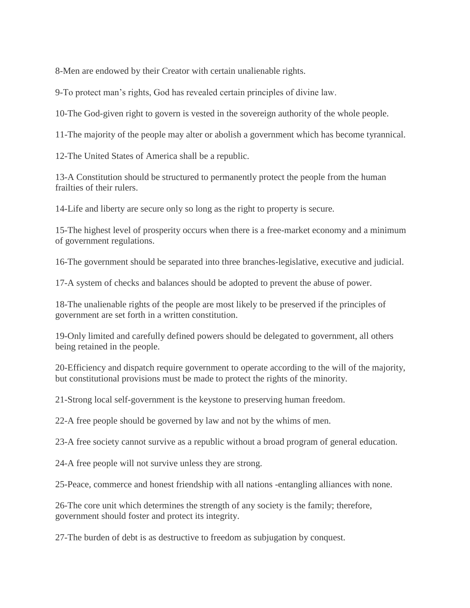8-Men are endowed by their Creator with certain unalienable rights.

9-To protect man's rights, God has revealed certain principles of divine law.

10-The God-given right to govern is vested in the sovereign authority of the whole people.

11-The majority of the people may alter or abolish a government which has become tyrannical.

12-The United States of America shall be a republic.

13-A Constitution should be structured to permanently protect the people from the human frailties of their rulers.

14-Life and liberty are secure only so long as the right to property is secure.

15-The highest level of prosperity occurs when there is a free-market economy and a minimum of government regulations.

16-The government should be separated into three branches-legislative, executive and judicial.

17-A system of checks and balances should be adopted to prevent the abuse of power.

18-The unalienable rights of the people are most likely to be preserved if the principles of government are set forth in a written constitution.

19-Only limited and carefully defined powers should be delegated to government, all others being retained in the people.

20-Efficiency and dispatch require government to operate according to the will of the majority, but constitutional provisions must be made to protect the rights of the minority.

21-Strong local self-government is the keystone to preserving human freedom.

22-A free people should be governed by law and not by the whims of men.

23-A free society cannot survive as a republic without a broad program of general education.

24-A free people will not survive unless they are strong.

25-Peace, commerce and honest friendship with all nations -entangling alliances with none.

26-The core unit which determines the strength of any society is the family; therefore, government should foster and protect its integrity.

27-The burden of debt is as destructive to freedom as subjugation by conquest.